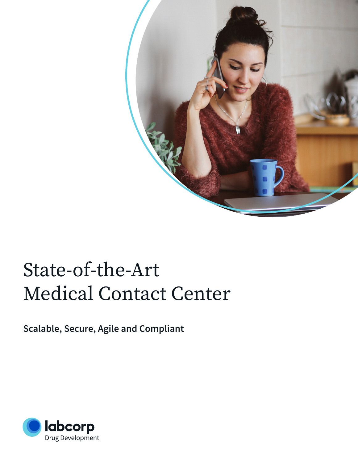

# State-of-the-Art Medical Contact Center

## **Scalable, Secure, Agile and Compliant**

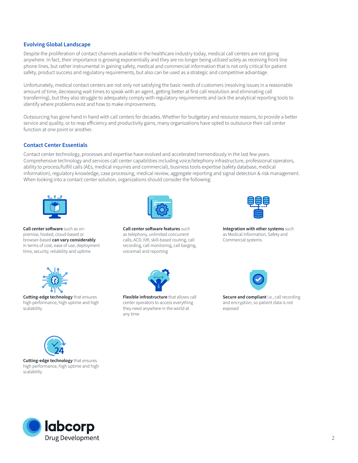## **Evolving Global Landscape**

Despite the proliferation of contact channels available in the healthcare industry today, medical call centers are not going anywhere. In fact, their importance is growing exponentially and they are no longer being utilized solely as receiving front line phone lines, but rather instrumental in gaining safety, medical and commercial information that is not only critical for patient safety, product success and regulatory requirements, but also can be used as a strategic and competitive advantage.

Unfortunately, medical contact centers are not only not satisfying the basic needs of customers (resolving issues in a reasonable amount of time, decreasing wait times to speak with an agent, getting better at first call resolution and eliminating call transferring), but they also struggle to adequately comply with regulatory requirements and lack the analytical reporting tools to identify where problems exist and how to make improvements.

Outsourcing has gone hand in hand with call centers for decades. Whether for budgetary and resource reasons, to provide a better service and quality, or to reap efficiency and productivity gains, many organizations have opted to outsource their call center function at one point or another.

#### **Contact Center Essentials**

Contact center technology, processes and expertise have evolved and accelerated tremendously in the last few years. Comprehensive technology and services call center capabilities including voice/telephony infrastructure, professional operators, ability to process/fulfill calls (AEs, medical inquiries and commercial), business tools expertise (safety database, medical information), regulatory knowledge, case processing, medical review, aggregate reporting and signal detection & risk management. When looking into a contact center solution, organizations should consider the following:



**Call center software** such as onpremise, hosted, cloud-based or browser-based **can vary considerably** in terms of cost, ease of use, deployment time, security, reliability and uptime



**Call center software features** such as telephony, unlimited concurrent calls, ACD, IVR, skill-based routing, call recording, call monitoring, call barging, voicemail and reporting



**Integration with other systems** such as Medical Information, Safety and Commercial systems



**Cutting-edge technology** that ensures high performance, high uptime and high scalability



**Flexible infrastructure** that allows call center operators to access everything they need anywhere in the world at any time



**Secure and compliant** i.e., call recording and encryption, so patient data is not exposed



**Cutting-edge technology** that ensures high performance, high uptime and high scalability

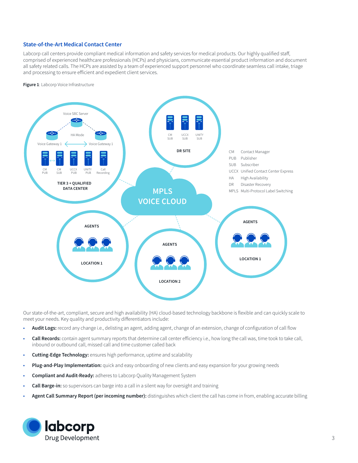## **State-of-the-Art Medical Contact Center**

Labcorp call centers provide compliant medical information and safety services for medical products. Our highly qualified staff, comprised of experienced healthcare professionals (HCPs) and physicians, communicate essential product information and document all safety related calls. The HCPs are assisted by a team of experienced support personnel who coordinate seamless call intake, triage and processing to ensure efficient and expedient client services.

**Figure 1**: Labcorp Voice Infrastructure



Our state-of-the-art, compliant, secure and high availability (HA) cloud-based technology backbone is flexible and can quickly scale to meet your needs. Key quality and productivity differentiators include:

- **Audit Logs:** record any change i.e., delisting an agent, adding agent, change of an extension, change of configuration of call flow
- **Call Records:** contain agent summary reports that determine call center efficiency i.e., how long the call was, time took to take call, inbound or outbound call, missed call and time customer called back
- **Cutting-Edge Technology:** ensures high performance, uptime and scalability
- **Plug-and-Play Implementation:** quick and easy onboarding of new clients and easy expansion for your growing needs
- **Compliant and Audit-Ready:** adheres to Labcorp Quality Management System
- **Call Barge-in:** so supervisors can barge into a call in a silent way for oversight and training
- **Agent Call Summary Report (per incoming number):** distinguishes which client the call has come in from, enabling accurate billing